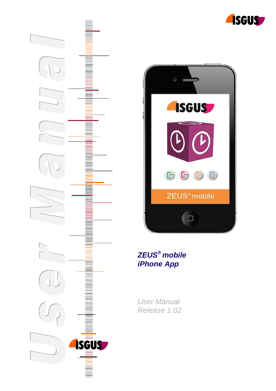





# *ZEUS® mobile iPhone App*

*User Manual Release 1.02*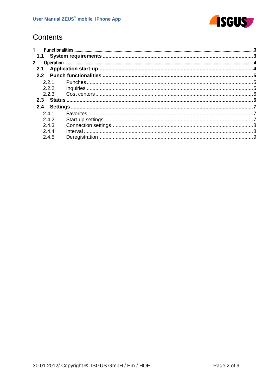

# Contents

| $1 \quad$<br>1.1<br>$\mathbf{2}$<br>2.1 |  |  |
|-----------------------------------------|--|--|
|                                         |  |  |
|                                         |  |  |
|                                         |  |  |
|                                         |  |  |
| 2.2.1                                   |  |  |
| 2.2.2                                   |  |  |
| 2.2.3                                   |  |  |
| 2.3                                     |  |  |
| 2.4                                     |  |  |
| 241                                     |  |  |
| 242                                     |  |  |
| 2.4.3                                   |  |  |
| 244                                     |  |  |
| 2.4.5                                   |  |  |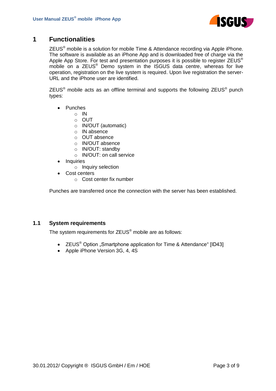

# <span id="page-2-0"></span>**1 Functionalities**

ZEUS® mobile is a solution for mobile Time & Attendance recording via Apple iPhone. The software is available as an iPhone App and is downloaded free of charge via the Apple App Store. For test and presentation purposes it is possible to register ZEUS<sup>®</sup> mobile on a ZEUS<sup>®</sup> Demo system in the ISGUS data centre, whereas for live operation, registration on the live system is required. Upon live registration the server-URL and the iPhone user are identified.

ZEUS<sup>®</sup> mobile acts as an offline terminal and supports the following ZEUS<sup>®</sup> punch types:

- Punches
	- o IN
	- o OUT
	- o IN/OUT (automatic)
	- o IN absence
	- o OUT absence
	- o IN/OUT absence
	- o IN/OUT: standby
	- o IN/OUT: on call service
- Inquiries
	- o Inquiry selection
- Cost centers
	- o Cost center fix number

Punches are transferred once the connection with the server has been established.

### <span id="page-2-1"></span>**1.1 System requirements**

The system requirements for ZEUS® mobile are as follows:

- ZEUS<sup>®</sup> Option "Smartphone application for Time & Attendance" [ID43]
- Apple iPhone Version 3G, 4, 4S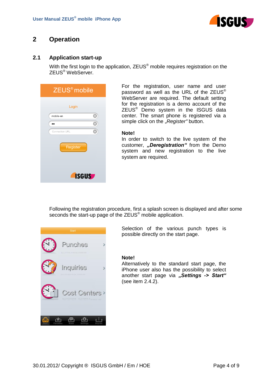

# <span id="page-3-0"></span>**2 Operation**

## <span id="page-3-1"></span>**2.1 Application start-up**

With the first login to the application, ZEUS<sup>®</sup> mobile requires registration on the ZEUS® WebServer.



For the registration, user name and user password as well as the URL of the ZEUS<sup>®</sup> WebServer are required. The default setting for the registration is a demo account of the ZEUS® Demo system in the ISGUS data center. The smart phone is registered via a simple click on the "Register" button.

#### **Note!**

In order to switch to the live system of the customer, "Deregistration" from the Demo system and new registration to the live system are required.

Following the registration procedure, first a splash screen is displayed and after some seconds the start-up page of the ZEUS<sup>®</sup> mobile application.



Selection of the various punch types is possible directly on the start page.

#### **Note!**

Alternatively to the standard start page, the iPhone user also has the possibility to select another start page via "Settings -> Start" (see item 2.4.2).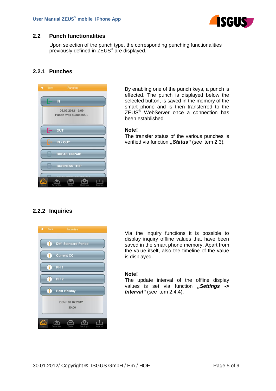

## <span id="page-4-0"></span>**2.2 Punch functionalities**

Upon selection of the punch type, the corresponding punching functionalities previously defined in ZEUS® are displayed.

## <span id="page-4-1"></span>**2.2.1 Punches**



By enabling one of the punch keys, a punch is effected. The punch is displayed below the selected button, is saved in the memory of the smart phone and is then transferred to the ZEUS<sup>®</sup> WebServer once a connection has been established.

#### **Note!**

The transfer status of the various punches is verified via function **"Status"** (see item 2.3).

## <span id="page-4-2"></span>**2.2.2 Inquiries**



Via the inquiry functions it is possible to display inquiry offline values that have been saved in the smart phone memory. Apart from the value itself, also the timeline of the value is displayed.

### **Note!**

The update interval of the offline display values is set via function "Settings -> *Interval*" (see item 2.4.4).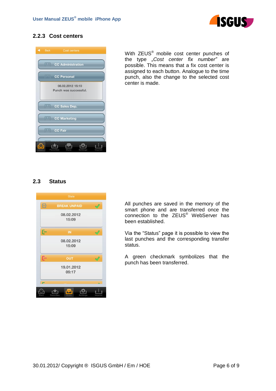

## <span id="page-5-0"></span>**2.2.3 Cost centers**



With ZEUS<sup>®</sup> mobile cost center punches of the type *"Cost center fix number"* are possible. This means that a fix cost center is assigned to each button. Analogue to the time punch, also the change to the selected cost center is made.

## <span id="page-5-1"></span>**2.3 Status**



All punches are saved in the memory of the smart phone and are transferred once the connection to the ZEUS® WebServer has been established.

Via the "Status" page it is possible to view the last punches and the corresponding transfer status.

A green checkmark symbolizes that the punch has been transferred.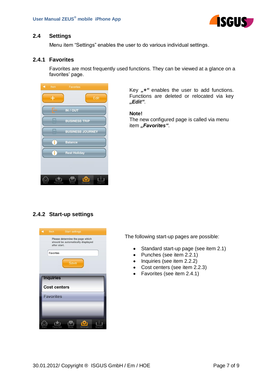

## <span id="page-6-0"></span>**2.4 Settings**

Menu item "Settings" enables the user to do various individual settings.

## <span id="page-6-1"></span>**2.4.1 Favorites**

Favorites are most frequently used functions. They can be viewed at a glance on a favorites' page.



Key "+" enables the user to add functions. Functions are deleted or relocated via key *"Edit"*.

#### **Note!**

The new configured page is called via menu item "Favorites".

## <span id="page-6-2"></span>**2.4.2 Start-up settings**



The following start-up pages are possible:

- Standard start-up page (see item 2.1)  $\bullet$
- Punches (see item 2.2.1)
- Inquiries (see item 2.2.2)
- Cost centers (see item 2.2.3)
- Favorites (see item 2.4.1)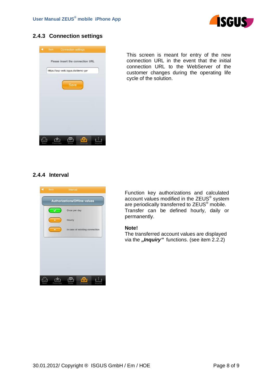

## <span id="page-7-0"></span>**2.4.3 Connection settings**



This screen is meant for entry of the new connection URL in the event that the initial connection URL to the WebServer of the customer changes during the operating life cycle of the solution.

## <span id="page-7-1"></span>**2.4.4 Interval**



Function key authorizations and calculated account values modified in the ZEUS<sup>®</sup> system are periodically transferred to ZEUS<sup>®</sup> mobile. Transfer can be defined hourly, daily or permanently.

#### **Note!**

The transferred account values are displayed via the *"Inquiry*" functions. (see item 2.2.2)